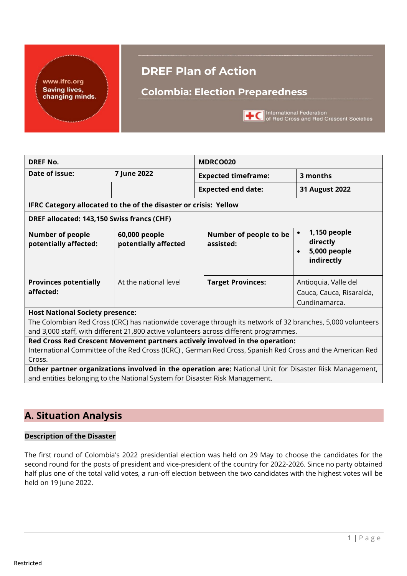www.ifrc.org **Saving lives,** changing minds.

# **DREF Plan of Action**

# **Colombia: Election Preparedness**



**TO** International Federation<br>
of Red Cross and Red Crescent Societies

| <b>DREF No.</b>                                                             |                                       | MDRCO020                                                                                                                                                                                            |                                                                   |  |  |  |  |  |
|-----------------------------------------------------------------------------|---------------------------------------|-----------------------------------------------------------------------------------------------------------------------------------------------------------------------------------------------------|-------------------------------------------------------------------|--|--|--|--|--|
| Date of issue:                                                              | 7 June 2022                           | <b>Expected timeframe:</b>                                                                                                                                                                          | 3 months                                                          |  |  |  |  |  |
|                                                                             |                                       | <b>Expected end date:</b>                                                                                                                                                                           | 31 August 2022                                                    |  |  |  |  |  |
|                                                                             |                                       |                                                                                                                                                                                                     |                                                                   |  |  |  |  |  |
| IFRC Category allocated to the of the disaster or crisis: Yellow            |                                       |                                                                                                                                                                                                     |                                                                   |  |  |  |  |  |
| DREF allocated: 143,150 Swiss francs (CHF)                                  |                                       |                                                                                                                                                                                                     |                                                                   |  |  |  |  |  |
| <b>Number of people</b><br>potentially affected:                            | 60,000 people<br>potentially affected | Number of people to be<br>assisted:                                                                                                                                                                 | 1,150 people<br>directly<br>5,000 people<br>indirectly            |  |  |  |  |  |
| <b>Provinces potentially</b><br>affected:                                   | At the national level                 | <b>Target Provinces:</b>                                                                                                                                                                            | Antioquia, Valle del<br>Cauca, Cauca, Risaralda,<br>Cundinamarca. |  |  |  |  |  |
| <b>Host National Society presence:</b>                                      |                                       | The Colombian Red Cross (CRC) has nationwide coverage through its network of 32 branches, 5,000 volunteers<br>and 3,000 staff, with different 21,800 active volunteers across different programmes. |                                                                   |  |  |  |  |  |
|                                                                             |                                       | Red Cross Red Crescent Movement partners actively involved in the operation:                                                                                                                        |                                                                   |  |  |  |  |  |
|                                                                             |                                       | International Committee of the Red Cross (ICRC), German Red Cross, Spanish Red Cross and the American Red                                                                                           |                                                                   |  |  |  |  |  |
| Cross.                                                                      |                                       |                                                                                                                                                                                                     |                                                                   |  |  |  |  |  |
|                                                                             |                                       | Other partner organizations involved in the operation are: National Unit for Disaster Risk Management,                                                                                              |                                                                   |  |  |  |  |  |
| and entities belonging to the National System for Disaster Risk Management. |                                       |                                                                                                                                                                                                     |                                                                   |  |  |  |  |  |

# **A. Situation Analysis**

### **Description of the Disaster**

The first round of Colombia's 2022 presidential election was held on 29 May to choose the candidates for the second round for the posts of president and vice-president of the country for 2022-2026. Since no party obtained half plus one of the total valid votes, a run-off election between the two candidates with the highest votes will be held on 19 June 2022.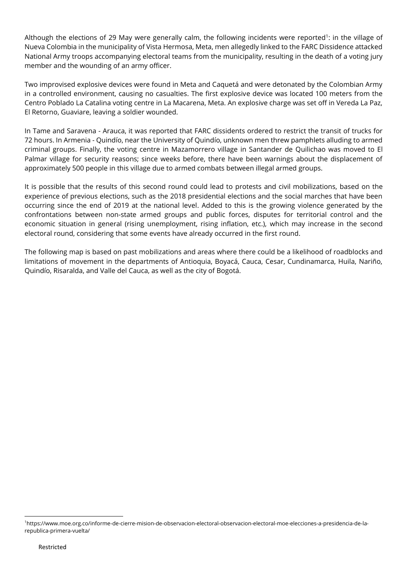Although the elections of 29 May were generally calm, the following incidents were reported<sup>1</sup>: in the village of Nueva Colombia in the municipality of Vista Hermosa, Meta, men allegedly linked to the FARC Dissidence attacked National Army troops accompanying electoral teams from the municipality, resulting in the death of a voting jury member and the wounding of an army officer.

Two improvised explosive devices were found in Meta and Caquetá and were detonated by the Colombian Army in a controlled environment, causing no casualties. The first explosive device was located 100 meters from the Centro Poblado La Catalina voting centre in La Macarena, Meta. An explosive charge was set off in Vereda La Paz, El Retorno, Guaviare, leaving a soldier wounded.

In Tame and Saravena - Arauca, it was reported that FARC dissidents ordered to restrict the transit of trucks for 72 hours. In Armenia - Quindío, near the University of Quindío, unknown men threw pamphlets alluding to armed criminal groups. Finally, the voting centre in Mazamorrero village in Santander de Quilichao was moved to El Palmar village for security reasons; since weeks before, there have been warnings about the displacement of approximately 500 people in this village due to armed combats between illegal armed groups.

It is possible that the results of this second round could lead to protests and civil mobilizations, based on the experience of previous elections, such as the 2018 presidential elections and the social marches that have been occurring since the end of 2019 at the national level. Added to this is the growing violence generated by the confrontations between non-state armed groups and public forces, disputes for territorial control and the economic situation in general (rising unemployment, rising inflation, etc.), which may increase in the second electoral round, considering that some events have already occurred in the first round.

The following map is based on past mobilizations and areas where there could be a likelihood of roadblocks and limitations of movement in the departments of Antioquia, Boyacá, Cauca, Cesar, Cundinamarca, Huila, Nariño, Quindío, Risaralda, and Valle del Cauca, as well as the city of Bogotá.

<sup>1</sup>https://www.moe.org.co/informe-de-cierre-mision-de-observacion-electoral-observacion-electoral-moe-elecciones-a-presidencia-de-larepublica-primera-vuelta/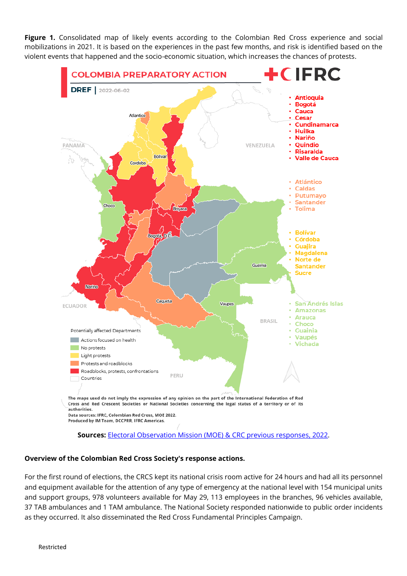**Figure 1.** Consolidated map of likely events according to the Colombian Red Cross experience and social mobilizations in 2021. It is based on the experiences in the past few months, and risk is identified based on the violent events that happened and the socio-economic situation, which increases the chances of protests.



#### **Overview of the Colombian Red Cross Society's response actions.**

For the first round of elections, the CRCS kept its national crisis room active for 24 hours and had all its personnel and equipment available for the attention of any type of emergency at the national level with 154 municipal units and support groups, 978 volunteers available for May 29, 113 employees in the branches, 96 vehicles available, 37 TAB ambulances and 1 TAM ambulance. The National Society responded nationwide to public order incidents as they occurred. It also disseminated the Red Cross Fundamental Principles Campaign.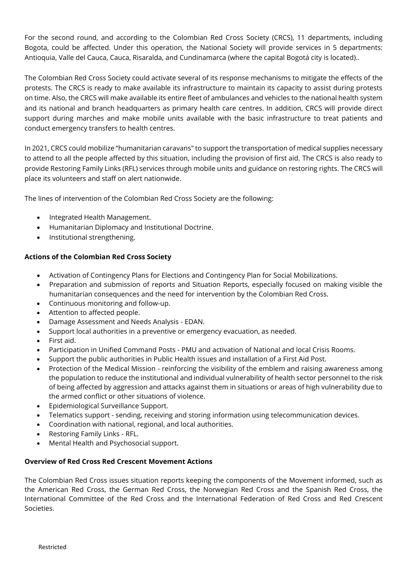For the second round, and according to the Colombian Red Cross Society (CRCS), 11 departments, including Bogota, could be affected. Under this operation, the National Society will provide services in 5 departments: Antioquia, Valle del Cauca, Cauca, Risaralda, and Cundinamarca (where the capital Bogotá city is located)..

The Colombian Red Cross Society could activate several of its response mechanisms to mitigate the effects of the protests. The CRCS is ready to make available its infrastructure to maintain its capacity to assist during protests on time. Also, the CRCS will make available its entire fleet of ambulances and vehicles to the national health system and its national and branch headquarters as primary health care centres. In addition, CRCS will provide direct support during marches and make mobile units available with the basic infrastructure to treat patients and conduct emergency transfers to health centres.

In 2021, CRCS could mobilize "humanitarian caravans" to support the transportation of medical supplies necessary to attend to all the people affected by this situation, including the provision of first aid. The CRCS is also ready to provide Restoring Family Links (RFL) services through mobile units and guidance on restoring rights. The CRCS will place its volunteers and staff on alert nationwide.

The lines of intervention of the Colombian Red Cross Society are the following:

- Integrated Health Management.
- Humanitarian Diplomacy and Institutional Doctrine.
- Institutional strengthening.

#### **Actions of the Colombian Red Cross Society**

- Activation of Contingency Plans for Elections and Contingency Plan for Social Mobilizations.
- Preparation and submission of reports and Situation Reports, especially focused on making visible the humanitarian consequences and the need for intervention by the Colombian Red Cross.
- Continuous monitoring and follow-up.
- Attention to affected people.
- Damage Assessment and Needs Analysis EDAN.
- Support local authorities in a preventive or emergency evacuation, as needed.
- First aid.
- Participation in Unified Command Posts PMU and activation of National and local Crisis Rooms.
- Support the public authorities in Public Health issues and installation of a First Aid Post.
- Protection of the Medical Mission reinforcing the visibility of the emblem and raising awareness among the population to reduce the institutional and individual vulnerability of health sector personnel to the risk of being affected by aggression and attacks against them in situations or areas of high vulnerability due to the armed conflict or other situations of violence.
- Epidemiological Surveillance Support.
- Telematics support sending, receiving and storing information using telecommunication devices.
- Coordination with national, regional, and local authorities.
- Restoring Family Links RFL.
- Mental Health and Psychosocial support.

#### **Overview of Red Cross Red Crescent Movement Actions**

The Colombian Red Cross issues situation reports keeping the components of the Movement informed, such as the American Red Cross, the German Red Cross, the Norwegian Red Cross and the Spanish Red Cross, the International Committee of the Red Cross and the International Federation of Red Cross and Red Crescent Societies.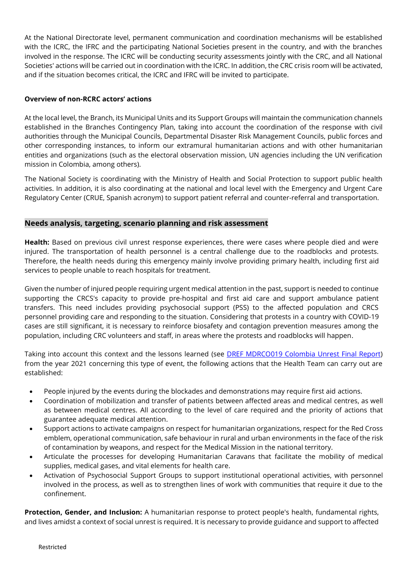At the National Directorate level, permanent communication and coordination mechanisms will be established with the ICRC, the IFRC and the participating National Societies present in the country, and with the branches involved in the response. The ICRC will be conducting security assessments jointly with the CRC, and all National Societies' actions will be carried out in coordination with the ICRC. In addition, the CRC crisis room will be activated, and if the situation becomes critical, the ICRC and IFRC will be invited to participate.

#### **Overview of non-RCRC actors' actions**

At the local level, the Branch, its Municipal Units and its Support Groups will maintain the communication channels established in the Branches Contingency Plan, taking into account the coordination of the response with civil authorities through the Municipal Councils, Departmental Disaster Risk Management Councils, public forces and other corresponding instances, to inform our extramural humanitarian actions and with other humanitarian entities and organizations (such as the electoral observation mission, UN agencies including the UN verification mission in Colombia, among others).

The National Society is coordinating with the Ministry of Health and Social Protection to support public health activities. In addition, it is also coordinating at the national and local level with the Emergency and Urgent Care Regulatory Center (CRUE, Spanish acronym) to support patient referral and counter-referral and transportation.

#### **Needs analysis, targeting, scenario planning and risk assessment**

**Health:** Based on previous civil unrest response experiences, there were cases where people died and were injured. The transportation of health personnel is a central challenge due to the roadblocks and protests. Therefore, the health needs during this emergency mainly involve providing primary health, including first aid services to people unable to reach hospitals for treatment.

Given the number of injured people requiring urgent medical attention in the past, support is needed to continue supporting the CRCS's capacity to provide pre-hospital and first aid care and support ambulance patient transfers. This need includes providing psychosocial support (PSS) to the affected population and CRCS personnel providing care and responding to the situation. Considering that protests in a country with COVID-19 cases are still significant, it is necessary to reinforce biosafety and contagion prevention measures among the population, including CRC volunteers and staff, in areas where the protests and roadblocks will happen.

Taking into account this context and the lessons learned (see [DREF MDRCO019 Colombia Unrest Final Report\)](https://adore.ifrc.org/Download.aspx?FileId=498162) from the year 2021 concerning this type of event, the following actions that the Health Team can carry out are established:

- People injured by the events during the blockades and demonstrations may require first aid actions.
- Coordination of mobilization and transfer of patients between affected areas and medical centres, as well as between medical centres. All according to the level of care required and the priority of actions that guarantee adequate medical attention.
- Support actions to activate campaigns on respect for humanitarian organizations, respect for the Red Cross emblem, operational communication, safe behaviour in rural and urban environments in the face of the risk of contamination by weapons, and respect for the Medical Mission in the national territory.
- Articulate the processes for developing Humanitarian Caravans that facilitate the mobility of medical supplies, medical gases, and vital elements for health care.
- Activation of Psychosocial Support Groups to support institutional operational activities, with personnel involved in the process, as well as to strengthen lines of work with communities that require it due to the confinement.

**Protection, Gender, and Inclusion:** A humanitarian response to protect people's health, fundamental rights, and lives amidst a context of social unrest is required. It is necessary to provide guidance and support to affected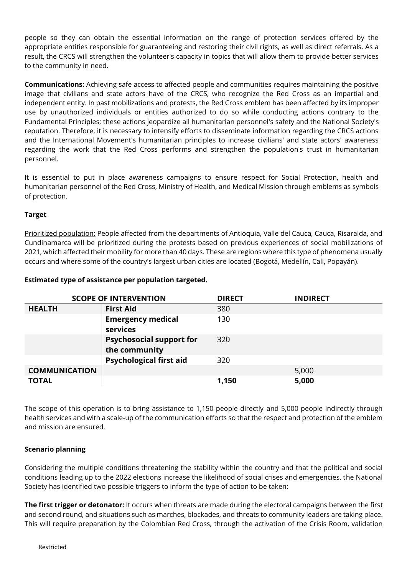people so they can obtain the essential information on the range of protection services offered by the appropriate entities responsible for guaranteeing and restoring their civil rights, as well as direct referrals. As a result, the CRCS will strengthen the volunteer's capacity in topics that will allow them to provide better services to the community in need.

**Communications:** Achieving safe access to affected people and communities requires maintaining the positive image that civilians and state actors have of the CRCS, who recognize the Red Cross as an impartial and independent entity. In past mobilizations and protests, the Red Cross emblem has been affected by its improper use by unauthorized individuals or entities authorized to do so while conducting actions contrary to the Fundamental Principles; these actions jeopardize all humanitarian personnel's safety and the National Society's reputation. Therefore, it is necessary to intensify efforts to disseminate information regarding the CRCS actions and the International Movement's humanitarian principles to increase civilians' and state actors' awareness regarding the work that the Red Cross performs and strengthen the population's trust in humanitarian personnel.

It is essential to put in place awareness campaigns to ensure respect for Social Protection, health and humanitarian personnel of the Red Cross, Ministry of Health, and Medical Mission through emblems as symbols of protection.

### **Target**

Prioritized population: People affected from the departments of Antioquia, Valle del Cauca, Cauca, Risaralda, and Cundinamarca will be prioritized during the protests based on previous experiences of social mobilizations of 2021, which affected their mobility for more than 40 days. These are regions where this type of phenomena usually occurs and where some of the country's largest urban cities are located (Bogotá, Medellín, Cali, Popayán).

|                      | <b>SCOPE OF INTERVENTION</b>                     | <b>DIRECT</b> | <b>INDIRECT</b> |
|----------------------|--------------------------------------------------|---------------|-----------------|
| <b>HEALTH</b>        | <b>First Aid</b>                                 | 380           |                 |
|                      | <b>Emergency medical</b><br>services             | 130           |                 |
|                      | <b>Psychosocial support for</b><br>the community | 320           |                 |
|                      | <b>Psychological first aid</b>                   | 320           |                 |
| <b>COMMUNICATION</b> |                                                  |               | 5,000           |
| <b>TOTAL</b>         |                                                  | 1,150         | 5,000           |

#### **Estimated type of assistance per population targeted.**

The scope of this operation is to bring assistance to 1,150 people directly and 5,000 people indirectly through health services and with a scale-up of the communication efforts so that the respect and protection of the emblem and mission are ensured.

#### **Scenario planning**

Considering the multiple conditions threatening the stability within the country and that the political and social conditions leading up to the 2022 elections increase the likelihood of social crises and emergencies, the National Society has identified two possible triggers to inform the type of action to be taken:

**The first trigger or detonator:** It occurs when threats are made during the electoral campaigns between the first and second round, and situations such as marches, blockades, and threats to community leaders are taking place. This will require preparation by the Colombian Red Cross, through the activation of the Crisis Room, validation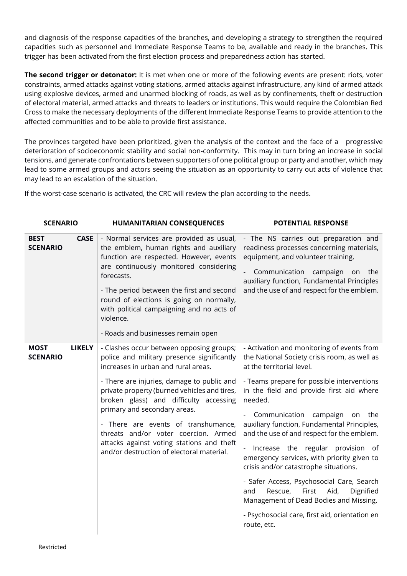and diagnosis of the response capacities of the branches, and developing a strategy to strengthen the required capacities such as personnel and Immediate Response Teams to be, available and ready in the branches. This trigger has been activated from the first election process and preparedness action has started.

**The second trigger or detonator:** It is met when one or more of the following events are present: riots, voter constraints, armed attacks against voting stations, armed attacks against infrastructure, any kind of armed attack using explosive devices, armed and unarmed blocking of roads, as well as by confinements, theft or destruction of electoral material, armed attacks and threats to leaders or institutions. This would require the Colombian Red Cross to make the necessary deployments of the different Immediate Response Teams to provide attention to the affected communities and to be able to provide first assistance.

The provinces targeted have been prioritized, given the analysis of the context and the face of a progressive deterioration of socioeconomic stability and social non-conformity. This may in turn bring an increase in social tensions, and generate confrontations between supporters of one political group or party and another, which may lead to some armed groups and actors seeing the situation as an opportunity to carry out acts of violence that may lead to an escalation of the situation.

If the worst-case scenario is activated, the CRC will review the plan according to the needs.

| <b>SCENARIO</b>                |               | <b>HUMANITARIAN CONSEQUENCES</b>                                                                                                                                                                                                                                                                                                                                                                                                                                               | <b>POTENTIAL RESPONSE</b>                                                                                                                                                                                                                                                                                                                                                                                                                                                                                                                                                                                                                                                                            |  |  |  |  |  |  |
|--------------------------------|---------------|--------------------------------------------------------------------------------------------------------------------------------------------------------------------------------------------------------------------------------------------------------------------------------------------------------------------------------------------------------------------------------------------------------------------------------------------------------------------------------|------------------------------------------------------------------------------------------------------------------------------------------------------------------------------------------------------------------------------------------------------------------------------------------------------------------------------------------------------------------------------------------------------------------------------------------------------------------------------------------------------------------------------------------------------------------------------------------------------------------------------------------------------------------------------------------------------|--|--|--|--|--|--|
| <b>BEST</b><br><b>SCENARIO</b> | <b>CASE</b>   | - Normal services are provided as usual,<br>the emblem, human rights and auxiliary<br>function are respected. However, events<br>are continuously monitored considering<br>forecasts.<br>- The period between the first and second<br>round of elections is going on normally,<br>with political campaigning and no acts of<br>violence.<br>- Roads and businesses remain open                                                                                                 | - The NS carries out preparation and<br>readiness processes concerning materials,<br>equipment, and volunteer training.<br>Communication campaign<br>the<br>on<br>auxiliary function, Fundamental Principles<br>and the use of and respect for the emblem.                                                                                                                                                                                                                                                                                                                                                                                                                                           |  |  |  |  |  |  |
| <b>MOST</b><br><b>SCENARIO</b> | <b>LIKELY</b> | - Clashes occur between opposing groups;<br>police and military presence significantly<br>increases in urban and rural areas.<br>- There are injuries, damage to public and<br>private property (burned vehicles and tires,<br>broken glass) and difficulty accessing<br>primary and secondary areas.<br>- There are events of transhumance,<br>threats and/or voter coercion. Armed<br>attacks against voting stations and theft<br>and/or destruction of electoral material. | - Activation and monitoring of events from<br>the National Society crisis room, as well as<br>at the territorial level.<br>- Teams prepare for possible interventions<br>in the field and provide first aid where<br>needed.<br>Communication campaign<br>on<br>the<br>auxiliary function, Fundamental Principles,<br>and the use of and respect for the emblem.<br>Increase the regular provision of<br>emergency services, with priority given to<br>crisis and/or catastrophe situations.<br>- Safer Access, Psychosocial Care, Search<br>Rescue,<br>First<br>Aid,<br>and<br>Dignified<br>Management of Dead Bodies and Missing.<br>- Psychosocial care, first aid, orientation en<br>route, etc. |  |  |  |  |  |  |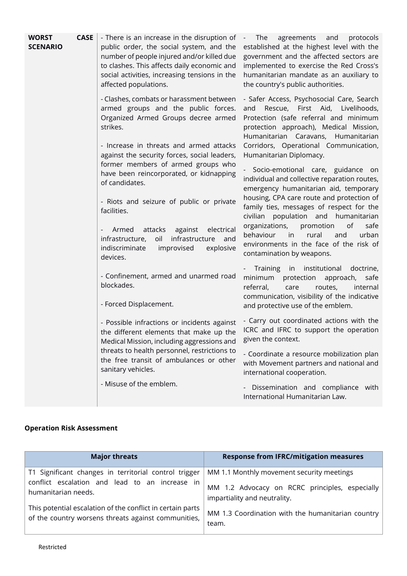| <b>WORST</b><br><b>SCENARIO</b> | <b>CASE</b> | - There is an increase in the disruption of<br>public order, the social system, and the<br>number of people injured and/or killed due<br>to clashes. This affects daily economic and<br>social activities, increasing tensions in the<br>affected populations. | The<br>agreements<br>and<br>protocols<br>$\sim$<br>established at the highest level with the<br>government and the affected sectors are<br>implemented to exercise the Red Cross's<br>humanitarian mandate as an auxiliary to<br>the country's public authorities. |
|---------------------------------|-------------|----------------------------------------------------------------------------------------------------------------------------------------------------------------------------------------------------------------------------------------------------------------|--------------------------------------------------------------------------------------------------------------------------------------------------------------------------------------------------------------------------------------------------------------------|
|                                 |             | - Clashes, combats or harassment between<br>armed groups and the public forces.<br>Organized Armed Groups decree armed<br>strikes.                                                                                                                             | - Safer Access, Psychosocial Care, Search<br>and Rescue, First Aid, Livelihoods,<br>Protection (safe referral and minimum<br>protection approach), Medical Mission,<br>Humanitarian Caravans, Humanitarian                                                         |
|                                 |             | - Increase in threats and armed attacks<br>against the security forces, social leaders,                                                                                                                                                                        | Corridors, Operational Communication,<br>Humanitarian Diplomacy.                                                                                                                                                                                                   |
|                                 |             | former members of armed groups who<br>have been reincorporated, or kidnapping<br>of candidates.                                                                                                                                                                | Socio-emotional care, guidance on<br>individual and collective reparation routes,<br>emergency humanitarian aid, temporary                                                                                                                                         |
|                                 |             | - Riots and seizure of public or private<br>facilities.                                                                                                                                                                                                        | housing, CPA care route and protection of<br>family ties, messages of respect for the<br>civilian population and humanitarian                                                                                                                                      |
|                                 |             | attacks<br>against<br>electrical<br>Armed<br>infrastructure<br>oil<br>infrastructure,<br>and<br>indiscriminate<br>improvised<br>explosive<br>devices.                                                                                                          | organizations,<br>promotion<br>of<br>safe<br>behaviour<br>in<br>rural<br>urban<br>and<br>environments in the face of the risk of<br>contamination by weapons.                                                                                                      |
|                                 |             | - Confinement, armed and unarmed road<br>blockades.                                                                                                                                                                                                            | Training<br>institutional<br>doctrine,<br>in<br>minimum<br>protection<br>approach,<br>safe<br>referral,<br>care<br>routes,<br>internal<br>communication, visibility of the indicative                                                                              |
|                                 |             | - Forced Displacement.                                                                                                                                                                                                                                         | and protective use of the emblem.                                                                                                                                                                                                                                  |
|                                 |             | - Possible infractions or incidents against<br>the different elements that make up the<br>Medical Mission, including aggressions and                                                                                                                           | - Carry out coordinated actions with the<br>ICRC and IFRC to support the operation<br>given the context.                                                                                                                                                           |
|                                 |             | threats to health personnel, restrictions to<br>the free transit of ambulances or other<br>sanitary vehicles.                                                                                                                                                  | - Coordinate a resource mobilization plan<br>with Movement partners and national and<br>international cooperation.                                                                                                                                                 |
|                                 |             | - Misuse of the emblem.                                                                                                                                                                                                                                        | Dissemination and compliance with<br>International Humanitarian Law.                                                                                                                                                                                               |

### **Operation Risk Assessment**

| <b>Major threats</b>                                       | <b>Response from IFRC/mitigation measures</b>     |
|------------------------------------------------------------|---------------------------------------------------|
| T1 Significant changes in territorial control trigger      | MM 1.1 Monthly movement security meetings         |
| conflict escalation and lead to an increase in             | MM 1.2 Advocacy on RCRC principles, especially    |
| humanitarian needs.                                        | impartiality and neutrality.                      |
| This potential escalation of the conflict in certain parts | MM 1.3 Coordination with the humanitarian country |
| of the country worsens threats against communities,        | team.                                             |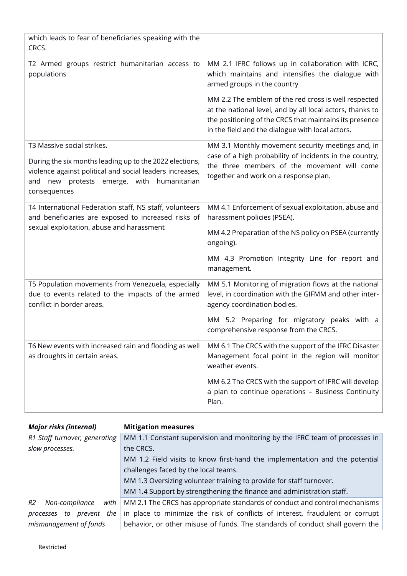| which leads to fear of beneficiaries speaking with the<br>CRCS.                                                                                                                                                    |                                                                                                                                                                                                                                  |
|--------------------------------------------------------------------------------------------------------------------------------------------------------------------------------------------------------------------|----------------------------------------------------------------------------------------------------------------------------------------------------------------------------------------------------------------------------------|
| T2 Armed groups restrict humanitarian access to<br>populations                                                                                                                                                     | MM 2.1 IFRC follows up in collaboration with ICRC,<br>which maintains and intensifies the dialogue with<br>armed groups in the country                                                                                           |
|                                                                                                                                                                                                                    | MM 2.2 The emblem of the red cross is well respected<br>at the national level, and by all local actors, thanks to<br>the positioning of the CRCS that maintains its presence<br>in the field and the dialogue with local actors. |
| T3 Massive social strikes.<br>During the six months leading up to the 2022 elections,<br>violence against political and social leaders increases,<br>new protests emerge, with humanitarian<br>and<br>consequences | MM 3.1 Monthly movement security meetings and, in<br>case of a high probability of incidents in the country,<br>the three members of the movement will come<br>together and work on a response plan.                             |
| T4 International Federation staff, NS staff, volunteers<br>and beneficiaries are exposed to increased risks of<br>sexual exploitation, abuse and harassment                                                        | MM 4.1 Enforcement of sexual exploitation, abuse and<br>harassment policies (PSEA).<br>MM 4.2 Preparation of the NS policy on PSEA (currently<br>ongoing).<br>MM 4.3 Promotion Integrity Line for report and<br>management.      |
| T5 Population movements from Venezuela, especially<br>due to events related to the impacts of the armed<br>conflict in border areas.                                                                               | MM 5.1 Monitoring of migration flows at the national<br>level, in coordination with the GIFMM and other inter-<br>agency coordination bodies.                                                                                    |
|                                                                                                                                                                                                                    | MM 5.2 Preparing for migratory peaks with a<br>comprehensive response from the CRCS.                                                                                                                                             |
| T6 New events with increased rain and flooding as well<br>as droughts in certain areas.                                                                                                                            | MM 6.1 The CRCS with the support of the IFRC Disaster<br>Management focal point in the region will monitor<br>weather events.                                                                                                    |
|                                                                                                                                                                                                                    | MM 6.2 The CRCS with the support of IFRC will develop<br>a plan to continue operations - Business Continuity<br>Plan.                                                                                                            |

| <b>Major risks (internal)</b> | <b>Mitigation measures</b>                                                    |
|-------------------------------|-------------------------------------------------------------------------------|
| R1 Staff turnover, generating | MM 1.1 Constant supervision and monitoring by the IFRC team of processes in   |
| slow processes.               | the CRCS.                                                                     |
|                               | MM 1.2 Field visits to know first-hand the implementation and the potential   |
|                               | challenges faced by the local teams.                                          |
|                               | MM 1.3 Oversizing volunteer training to provide for staff turnover.           |
|                               | MM 1.4 Support by strengthening the finance and administration staff.         |
| R2<br>Non-compliance<br>with  | MM 2.1 The CRCS has appropriate standards of conduct and control mechanisms   |
| prevent the<br>processes to   | in place to minimize the risk of conflicts of interest, fraudulent or corrupt |
| mismanagement of funds        | behavior, or other misuse of funds. The standards of conduct shall govern the |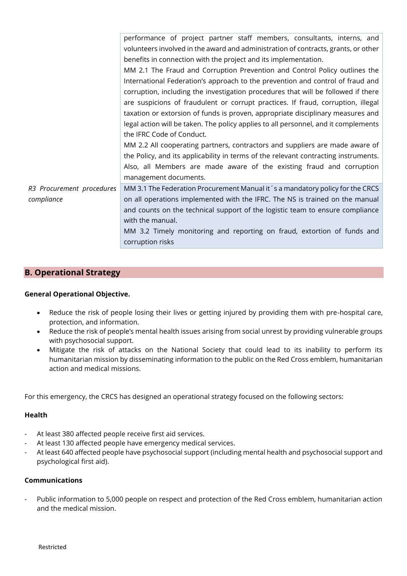|                           | performance of project partner staff members, consultants, interns, and<br>volunteers involved in the award and administration of contracts, grants, or other |
|---------------------------|---------------------------------------------------------------------------------------------------------------------------------------------------------------|
|                           | benefits in connection with the project and its implementation.                                                                                               |
|                           | MM 2.1 The Fraud and Corruption Prevention and Control Policy outlines the                                                                                    |
|                           | International Federation's approach to the prevention and control of fraud and                                                                                |
|                           | corruption, including the investigation procedures that will be followed if there                                                                             |
|                           | are suspicions of fraudulent or corrupt practices. If fraud, corruption, illegal                                                                              |
|                           | taxation or extorsion of funds is proven, appropriate disciplinary measures and                                                                               |
|                           | legal action will be taken. The policy applies to all personnel, and it complements                                                                           |
|                           | the IFRC Code of Conduct.                                                                                                                                     |
|                           | MM 2.2 All cooperating partners, contractors and suppliers are made aware of                                                                                  |
|                           | the Policy, and its applicability in terms of the relevant contracting instruments.                                                                           |
|                           | Also, all Members are made aware of the existing fraud and corruption                                                                                         |
|                           | management documents.                                                                                                                                         |
| R3 Procurement procedures | MM 3.1 The Federation Procurement Manual it's a mandatory policy for the CRCS                                                                                 |
| compliance                | on all operations implemented with the IFRC. The NS is trained on the manual                                                                                  |
|                           | and counts on the technical support of the logistic team to ensure compliance                                                                                 |
|                           | with the manual.                                                                                                                                              |
|                           | MM 3.2 Timely monitoring and reporting on fraud, extortion of funds and                                                                                       |
|                           | corruption risks                                                                                                                                              |
|                           |                                                                                                                                                               |

### **B. Operational Strategy**

#### **General Operational Objective.**

- Reduce the risk of people losing their lives or getting injured by providing them with pre-hospital care, protection, and information.
- Reduce the risk of people's mental health issues arising from social unrest by providing vulnerable groups with psychosocial support.
- Mitigate the risk of attacks on the National Society that could lead to its inability to perform its humanitarian mission by disseminating information to the public on the Red Cross emblem, humanitarian action and medical missions.

For this emergency, the CRCS has designed an operational strategy focused on the following sectors:

#### **Health**

- At least 380 affected people receive first aid services.
- At least 130 affected people have emergency medical services.
- At least 640 affected people have psychosocial support (including mental health and psychosocial support and psychological first aid).

#### **Communications**

Public information to 5,000 people on respect and protection of the Red Cross emblem, humanitarian action and the medical mission.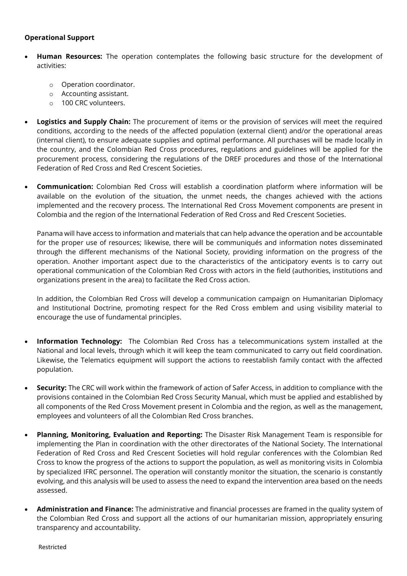#### **Operational Support**

- **Human Resources:** The operation contemplates the following basic structure for the development of activities:
	- o Operation coordinator.
	- o Accounting assistant.
	- o 100 CRC volunteers.
- **Logistics and Supply Chain:** The procurement of items or the provision of services will meet the required conditions, according to the needs of the affected population (external client) and/or the operational areas (internal client), to ensure adequate supplies and optimal performance. All purchases will be made locally in the country, and the Colombian Red Cross procedures, regulations and guidelines will be applied for the procurement process, considering the regulations of the DREF procedures and those of the International Federation of Red Cross and Red Crescent Societies.
- **Communication:** Colombian Red Cross will establish a coordination platform where information will be available on the evolution of the situation, the unmet needs, the changes achieved with the actions implemented and the recovery process. The International Red Cross Movement components are present in Colombia and the region of the International Federation of Red Cross and Red Crescent Societies.

Panama will have access to information and materials that can help advance the operation and be accountable for the proper use of resources; likewise, there will be communiqués and information notes disseminated through the different mechanisms of the National Society, providing information on the progress of the operation. Another important aspect due to the characteristics of the anticipatory events is to carry out operational communication of the Colombian Red Cross with actors in the field (authorities, institutions and organizations present in the area) to facilitate the Red Cross action.

In addition, the Colombian Red Cross will develop a communication campaign on Humanitarian Diplomacy and Institutional Doctrine, promoting respect for the Red Cross emblem and using visibility material to encourage the use of fundamental principles.

- **Information Technology:** The Colombian Red Cross has a telecommunications system installed at the National and local levels, through which it will keep the team communicated to carry out field coordination. Likewise, the Telematics equipment will support the actions to reestablish family contact with the affected population.
- **Security:** The CRC will work within the framework of action of Safer Access, in addition to compliance with the provisions contained in the Colombian Red Cross Security Manual, which must be applied and established by all components of the Red Cross Movement present in Colombia and the region, as well as the management, employees and volunteers of all the Colombian Red Cross branches.
- **Planning, Monitoring, Evaluation and Reporting:** The Disaster Risk Management Team is responsible for implementing the Plan in coordination with the other directorates of the National Society. The International Federation of Red Cross and Red Crescent Societies will hold regular conferences with the Colombian Red Cross to know the progress of the actions to support the population, as well as monitoring visits in Colombia by specialized IFRC personnel. The operation will constantly monitor the situation, the scenario is constantly evolving, and this analysis will be used to assess the need to expand the intervention area based on the needs assessed.
- **Administration and Finance:** The administrative and financial processes are framed in the quality system of the Colombian Red Cross and support all the actions of our humanitarian mission, appropriately ensuring transparency and accountability.

Restricted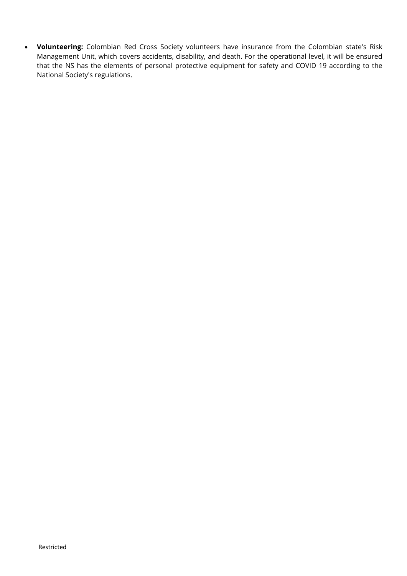• **Volunteering:** Colombian Red Cross Society volunteers have insurance from the Colombian state's Risk Management Unit, which covers accidents, disability, and death. For the operational level, it will be ensured that the NS has the elements of personal protective equipment for safety and COVID 19 according to the National Society's regulations.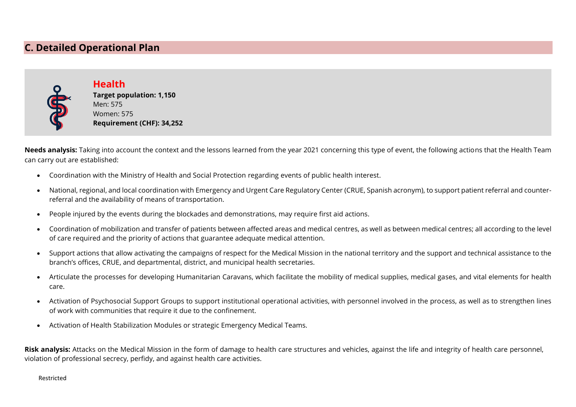# **C. Detailed Operational Plan**



**Health Target population: 1,150** Men: 575 Women: 575 **Requirement (CHF): 34,252**

**Needs analysis:** Taking into account the context and the lessons learned from the year 2021 concerning this type of event, the following actions that the Health Team can carry out are established:

- Coordination with the Ministry of Health and Social Protection regarding events of public health interest.
- National, regional, and local coordination with Emergency and Urgent Care Regulatory Center (CRUE, Spanish acronym), to support patient referral and counterreferral and the availability of means of transportation.
- People injured by the events during the blockades and demonstrations, may require first aid actions.
- Coordination of mobilization and transfer of patients between affected areas and medical centres, as well as between medical centres; all according to the level of care required and the priority of actions that guarantee adequate medical attention.
- Support actions that allow activating the campaigns of respect for the Medical Mission in the national territory and the support and technical assistance to the branch's offices, CRUE, and departmental, district, and municipal health secretaries.
- Articulate the processes for developing Humanitarian Caravans, which facilitate the mobility of medical supplies, medical gases, and vital elements for health care.
- Activation of Psychosocial Support Groups to support institutional operational activities, with personnel involved in the process, as well as to strengthen lines of work with communities that require it due to the confinement.
- Activation of Health Stabilization Modules or strategic Emergency Medical Teams.

**Risk analysis:** Attacks on the Medical Mission in the form of damage to health care structures and vehicles, against the life and integrity of health care personnel, violation of professional secrecy, perfidy, and against health care activities.

Restricted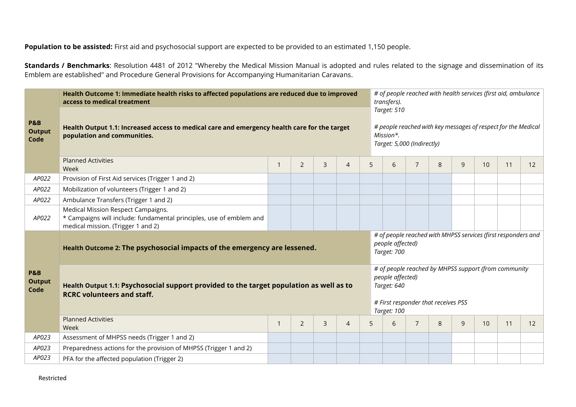**Population to be assisted:** First aid and psychosocial support are expected to be provided to an estimated 1,150 people.

**Standards / Benchmarks**: Resolution 4481 of 2012 "Whereby the Medical Mission Manual is adopted and rules related to the signage and dissemination of its Emblem are established" and Procedure General Provisions for Accompanying Humanitarian Caravans.

|                                         | Health Outcome 1: Immediate health risks to affected populations are reduced due to improved<br>access to medical treatment                              |                          | # of people reached with health services (first aid, ambulance<br>transfers). |                |                |   |                                                                                                                         |                                                                                                                                               |   |   |    |    |    |  |  |
|-----------------------------------------|----------------------------------------------------------------------------------------------------------------------------------------------------------|--------------------------|-------------------------------------------------------------------------------|----------------|----------------|---|-------------------------------------------------------------------------------------------------------------------------|-----------------------------------------------------------------------------------------------------------------------------------------------|---|---|----|----|----|--|--|
| <b>P&amp;B</b><br><b>Output</b><br>Code | Health Output 1.1: Increased access to medical care and emergency health care for the target<br>population and communities.<br><b>Planned Activities</b> |                          |                                                                               |                |                |   | Target: 510<br># people reached with key messages of respect for the Medical<br>Mission*.<br>Target: 5,000 (Indirectly) |                                                                                                                                               |   |   |    |    |    |  |  |
|                                         | Week                                                                                                                                                     | 1                        | $\overline{2}$                                                                | $\overline{3}$ | $\overline{4}$ | 5 | 6                                                                                                                       | $\overline{7}$                                                                                                                                | 8 | 9 | 10 | 11 | 12 |  |  |
| AP022                                   | Provision of First Aid services (Trigger 1 and 2)                                                                                                        |                          |                                                                               |                |                |   |                                                                                                                         |                                                                                                                                               |   |   |    |    |    |  |  |
| AP022                                   | Mobilization of volunteers (Trigger 1 and 2)                                                                                                             |                          |                                                                               |                |                |   |                                                                                                                         |                                                                                                                                               |   |   |    |    |    |  |  |
| AP022                                   | Ambulance Transfers (Trigger 1 and 2)                                                                                                                    |                          |                                                                               |                |                |   |                                                                                                                         |                                                                                                                                               |   |   |    |    |    |  |  |
| AP022                                   | Medical Mission Respect Campaigns.<br>* Campaigns will include: fundamental principles, use of emblem and<br>medical mission. (Trigger 1 and 2)          |                          |                                                                               |                |                |   |                                                                                                                         |                                                                                                                                               |   |   |    |    |    |  |  |
|                                         | Health Outcome 2: The psychosocial impacts of the emergency are lessened.                                                                                |                          |                                                                               |                |                |   |                                                                                                                         | # of people reached with MHPSS services (first responders and<br>people affected)<br>Target: 700                                              |   |   |    |    |    |  |  |
| <b>P&amp;B</b><br><b>Output</b><br>Code | Health Output 1.1: Psychosocial support provided to the target population as well as to<br><b>RCRC volunteers and staff.</b>                             |                          |                                                                               |                |                |   |                                                                                                                         | # of people reached by MHPSS support (from community<br>people affected)<br>Target: 640<br># First responder that receives PSS<br>Target: 100 |   |   |    |    |    |  |  |
|                                         | <b>Planned Activities</b><br>Week                                                                                                                        | $\overline{\phantom{a}}$ | $\overline{2}$                                                                | $\overline{3}$ | $\overline{4}$ | 5 | 6                                                                                                                       | $\overline{7}$                                                                                                                                | 8 | 9 | 10 | 11 | 12 |  |  |
| AP023                                   | Assessment of MHPSS needs (Trigger 1 and 2)                                                                                                              |                          |                                                                               |                |                |   |                                                                                                                         |                                                                                                                                               |   |   |    |    |    |  |  |
| AP023                                   | Preparedness actions for the provision of MHPSS (Trigger 1 and 2)                                                                                        |                          |                                                                               |                |                |   |                                                                                                                         |                                                                                                                                               |   |   |    |    |    |  |  |
| AP023                                   | PFA for the affected population (Trigger 2)                                                                                                              |                          |                                                                               |                |                |   |                                                                                                                         |                                                                                                                                               |   |   |    |    |    |  |  |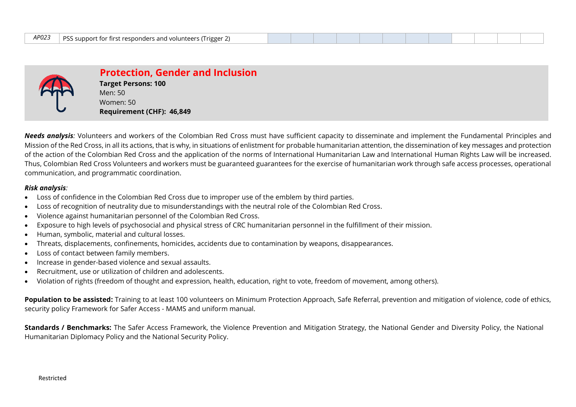| <i>AP023</i> | $\mid$ PSS support for first responders and volunteers (Trigger 2) |  |
|--------------|--------------------------------------------------------------------|--|
|--------------|--------------------------------------------------------------------|--|



**Protection, Gender and Inclusion Target Persons: 100** Men: 50 Women: 50 **Requirement (CHF): 46,849**

*Needs analysis:* Volunteers and workers of the Colombian Red Cross must have sufficient capacity to disseminate and implement the Fundamental Principles and Mission of the Red Cross, in all its actions, that is why, in situations of enlistment for probable humanitarian attention, the dissemination of key messages and protection of the action of the Colombian Red Cross and the application of the norms of International Humanitarian Law and International Human Rights Law will be increased. Thus, Colombian Red Cross Volunteers and workers must be guaranteed guarantees for the exercise of humanitarian work through safe access processes, operational communication, and programmatic coordination.

#### *Risk analysis:*

- Loss of confidence in the Colombian Red Cross due to improper use of the emblem by third parties.
- Loss of recognition of neutrality due to misunderstandings with the neutral role of the Colombian Red Cross.
- Violence against humanitarian personnel of the Colombian Red Cross.
- Exposure to high levels of psychosocial and physical stress of CRC humanitarian personnel in the fulfillment of their mission.
- Human, symbolic, material and cultural losses.
- Threats, displacements, confinements, homicides, accidents due to contamination by weapons, disappearances.
- Loss of contact between family members.
- Increase in gender-based violence and sexual assaults.
- Recruitment, use or utilization of children and adolescents.
- Violation of rights (freedom of thought and expression, health, education, right to vote, freedom of movement, among others).

Population to be assisted: Training to at least 100 volunteers on Minimum Protection Approach, Safe Referral, prevention and mitigation of violence, code of ethics, security policy Framework for Safer Access - MAMS and uniform manual.

**Standards / Benchmarks:** The Safer Access Framework, the Violence Prevention and Mitigation Strategy, the National Gender and Diversity Policy, the National Humanitarian Diplomacy Policy and the National Security Policy.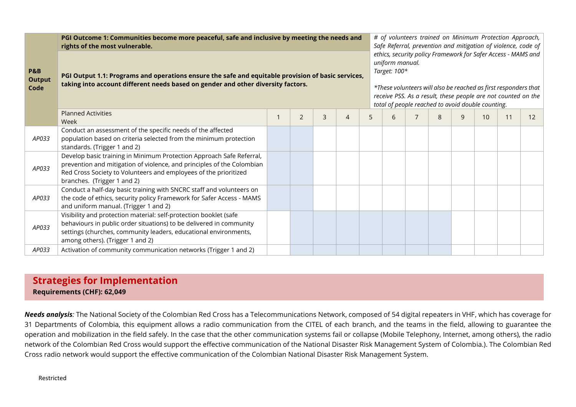|                                         | PGI Outcome 1: Communities become more peaceful, safe and inclusive by meeting the needs and<br>rights of the most vulnerable.                                                                                                                    |  |   |   |                |   |   |  | # of volunteers trained on Minimum Protection Approach,<br>Safe Referral, prevention and mitigation of violence, code of                                                                                                                                                                  |              |    |    |    |  |  |  |
|-----------------------------------------|---------------------------------------------------------------------------------------------------------------------------------------------------------------------------------------------------------------------------------------------------|--|---|---|----------------|---|---|--|-------------------------------------------------------------------------------------------------------------------------------------------------------------------------------------------------------------------------------------------------------------------------------------------|--------------|----|----|----|--|--|--|
| <b>P&amp;B</b><br><b>Output</b><br>Code | PGI Output 1.1: Programs and operations ensure the safe and equitable provision of basic services,<br>taking into account different needs based on gender and other diversity factors.                                                            |  |   |   |                |   |   |  | ethics, security policy Framework for Safer Access - MAMS and<br>uniform manual.<br>Target: 100*<br>*These volunteers will also be reached as first responders that<br>receive PSS. As a result, these people are not counted on the<br>total of people reached to avoid double counting. |              |    |    |    |  |  |  |
|                                         | <b>Planned Activities</b><br>Week                                                                                                                                                                                                                 |  | 2 | 3 | $\overline{4}$ | 5 | հ |  | 8                                                                                                                                                                                                                                                                                         | $\mathsf{Q}$ | 10 | 11 | 12 |  |  |  |
| AP033                                   | Conduct an assessment of the specific needs of the affected<br>population based on criteria selected from the minimum protection<br>standards. (Trigger 1 and 2)                                                                                  |  |   |   |                |   |   |  |                                                                                                                                                                                                                                                                                           |              |    |    |    |  |  |  |
| AP033                                   | Develop basic training in Minimum Protection Approach Safe Referral,<br>prevention and mitigation of violence, and principles of the Colombian<br>Red Cross Society to Volunteers and employees of the prioritized<br>branches. (Trigger 1 and 2) |  |   |   |                |   |   |  |                                                                                                                                                                                                                                                                                           |              |    |    |    |  |  |  |
| AP033                                   | Conduct a half-day basic training with SNCRC staff and volunteers on<br>the code of ethics, security policy Framework for Safer Access - MAMS<br>and uniform manual. (Trigger 1 and 2)                                                            |  |   |   |                |   |   |  |                                                                                                                                                                                                                                                                                           |              |    |    |    |  |  |  |
| AP033                                   | Visibility and protection material: self-protection booklet (safe<br>behaviours in public order situations) to be delivered in community<br>settings (churches, community leaders, educational environments,<br>among others). (Trigger 1 and 2)  |  |   |   |                |   |   |  |                                                                                                                                                                                                                                                                                           |              |    |    |    |  |  |  |
| AP033                                   | Activation of community communication networks (Trigger 1 and 2)                                                                                                                                                                                  |  |   |   |                |   |   |  |                                                                                                                                                                                                                                                                                           |              |    |    |    |  |  |  |

## **Strategies for Implementation Requirements (CHF): 62,049**

*Needs analysis:* The National Society of the Colombian Red Cross has a Telecommunications Network, composed of 54 digital repeaters in VHF, which has coverage for 31 Departments of Colombia, this equipment allows a radio communication from the CITEL of each branch, and the teams in the field, allowing to guarantee the operation and mobilization in the field safely. In the case that the other communication systems fail or collapse (Mobile Telephony, Internet, among others), the radio network of the Colombian Red Cross would support the effective communication of the National Disaster Risk Management System of Colombia.). The Colombian Red Cross radio network would support the effective communication of the Colombian National Disaster Risk Management System.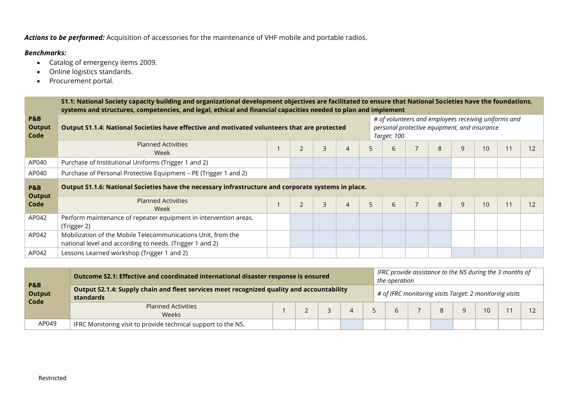*Actions to be performed:* Acquisition of accessories for the maintenance of VHF mobile and portable radios.

### *Benchmarks:*

- Catalog of emergency items 2009.
- Online logistics standards.
- Procurement portal.

|                                         | S1.1: National Society capacity building and organizational development objectives are facilitated to ensure that National Societies have the foundations,<br>systems and structures, competencies, and legal, ethical and financial capacities needed to plan and implement |  |                                                                                                                      |   |                |   |   |  |               |   |    |    |    |
|-----------------------------------------|------------------------------------------------------------------------------------------------------------------------------------------------------------------------------------------------------------------------------------------------------------------------------|--|----------------------------------------------------------------------------------------------------------------------|---|----------------|---|---|--|---------------|---|----|----|----|
| <b>P&amp;B</b><br><b>Output</b><br>Code | Output S1.1.4: National Societies have effective and motivated volunteers that are protected                                                                                                                                                                                 |  | # of volunteers and employees receiving uniforms and<br>personal protective equipment, and insurance.<br>Target: 100 |   |                |   |   |  |               |   |    |    |    |
|                                         | <b>Planned Activities</b><br>Week                                                                                                                                                                                                                                            |  | $\overline{2}$                                                                                                       | 3 | $\overline{4}$ | 5 | 6 |  | 8             | 9 | 10 | 11 | 12 |
| AP040                                   | Purchase of Institutional Uniforms (Trigger 1 and 2)                                                                                                                                                                                                                         |  |                                                                                                                      |   |                |   |   |  |               |   |    |    |    |
| AP040                                   | Purchase of Personal Protective Equipment - PE (Trigger 1 and 2)                                                                                                                                                                                                             |  |                                                                                                                      |   |                |   |   |  |               |   |    |    |    |
| <b>P&amp;B</b><br>Output                | Output S1.1.6: National Societies have the necessary infrastructure and corporate systems in place.                                                                                                                                                                          |  |                                                                                                                      |   |                |   |   |  |               |   |    |    |    |
| Code                                    | <b>Planned Activities</b><br>Week                                                                                                                                                                                                                                            |  | $\overline{2}$                                                                                                       | 3 | $\overline{4}$ | 5 | 6 |  | $\mathcal{B}$ | 9 | 10 | 11 | 12 |
| AP042                                   | Perform maintenance of repeater equipment in intervention areas.<br>(Trigger 2)                                                                                                                                                                                              |  |                                                                                                                      |   |                |   |   |  |               |   |    |    |    |
| AP042                                   | Mobilization of the Mobile Telecommunications Unit, from the<br>national level and according to needs. (Trigger 1 and 2)                                                                                                                                                     |  |                                                                                                                      |   |                |   |   |  |               |   |    |    |    |
| AP042                                   | Lessons Learned workshop (Trigger 1 and 2)                                                                                                                                                                                                                                   |  |                                                                                                                      |   |                |   |   |  |               |   |    |    |    |

| <b>P&amp;B</b><br><b>Output</b><br>Code | Outcome S2.1: Effective and coordinated international disaster response is ensured                            |  |  |  |  |  | IFRC provide assistance to the NS during the 3 months of<br>the operation |  |  |  |    |  |  |
|-----------------------------------------|---------------------------------------------------------------------------------------------------------------|--|--|--|--|--|---------------------------------------------------------------------------|--|--|--|----|--|--|
|                                         | Output S2.1.4: Supply chain and fleet services meet recognized quality and accountability<br><b>standards</b> |  |  |  |  |  | # of IFRC monitoring visits Target: 2 monitoring visits                   |  |  |  |    |  |  |
|                                         | <b>Planned Activities</b><br>Weeks                                                                            |  |  |  |  |  |                                                                           |  |  |  | 10 |  |  |
| AP049                                   | IFRC Monitoring visit to provide technical support to the NS.                                                 |  |  |  |  |  |                                                                           |  |  |  |    |  |  |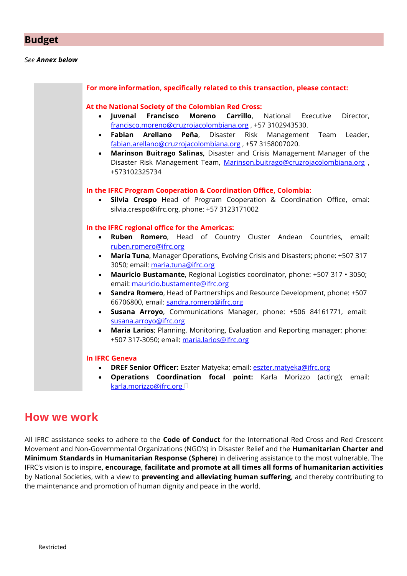### **Budget**

#### *See Annex below*

| Fabian<br>Arellano<br><b>Peña</b> , Disaster Risk Management Team<br>fabian.arellano@cruzrojacolombiana.org, +57 3158007020.<br>Marinson Buitrago Salinas, Disaster and Crisis Management Manager of the<br>$\bullet$<br>Disaster Risk Management Team, Marinson.buitrago@cruzrojacolombiana.org,<br>+573102325734<br>In the IFRC Program Cooperation & Coordination Office, Colombia:<br>Silvia Crespo Head of Program Cooperation & Coordination Office, emai:<br>silvia.crespo@ifrc.org, phone: +57 3123171002<br>In the IFRC regional office for the Americas:<br>Ruben Romero, Head of Country Cluster Andean Countries, email:<br>$\bullet$<br>ruben.romero@ifrc.org<br>María Tuna, Manager Operations, Evolving Crisis and Disasters; phone: +507 317<br>$\bullet$<br>3050; email: maria.tuna@ifrc.org<br>Mauricio Bustamante, Regional Logistics coordinator, phone: +507 317 · 3050;<br>$\bullet$<br>email: mauricio.bustamente@ifrc.org<br>Sandra Romero, Head of Partnerships and Resource Development, phone: +507<br>$\bullet$<br>66706800, email: sandra.romero@ifrc.org<br>Susana Arroyo, Communications Manager, phone: +506 84161771, email:<br>$\bullet$ | francisco.moreno@cruzrojacolombiana.org, +57 3102943530. |
|----------------------------------------------------------------------------------------------------------------------------------------------------------------------------------------------------------------------------------------------------------------------------------------------------------------------------------------------------------------------------------------------------------------------------------------------------------------------------------------------------------------------------------------------------------------------------------------------------------------------------------------------------------------------------------------------------------------------------------------------------------------------------------------------------------------------------------------------------------------------------------------------------------------------------------------------------------------------------------------------------------------------------------------------------------------------------------------------------------------------------------------------------------------------------|----------------------------------------------------------|
|                                                                                                                                                                                                                                                                                                                                                                                                                                                                                                                                                                                                                                                                                                                                                                                                                                                                                                                                                                                                                                                                                                                                                                            | Leader,                                                  |
|                                                                                                                                                                                                                                                                                                                                                                                                                                                                                                                                                                                                                                                                                                                                                                                                                                                                                                                                                                                                                                                                                                                                                                            |                                                          |
|                                                                                                                                                                                                                                                                                                                                                                                                                                                                                                                                                                                                                                                                                                                                                                                                                                                                                                                                                                                                                                                                                                                                                                            |                                                          |
|                                                                                                                                                                                                                                                                                                                                                                                                                                                                                                                                                                                                                                                                                                                                                                                                                                                                                                                                                                                                                                                                                                                                                                            |                                                          |
|                                                                                                                                                                                                                                                                                                                                                                                                                                                                                                                                                                                                                                                                                                                                                                                                                                                                                                                                                                                                                                                                                                                                                                            |                                                          |
|                                                                                                                                                                                                                                                                                                                                                                                                                                                                                                                                                                                                                                                                                                                                                                                                                                                                                                                                                                                                                                                                                                                                                                            |                                                          |
|                                                                                                                                                                                                                                                                                                                                                                                                                                                                                                                                                                                                                                                                                                                                                                                                                                                                                                                                                                                                                                                                                                                                                                            |                                                          |
|                                                                                                                                                                                                                                                                                                                                                                                                                                                                                                                                                                                                                                                                                                                                                                                                                                                                                                                                                                                                                                                                                                                                                                            |                                                          |
|                                                                                                                                                                                                                                                                                                                                                                                                                                                                                                                                                                                                                                                                                                                                                                                                                                                                                                                                                                                                                                                                                                                                                                            |                                                          |
|                                                                                                                                                                                                                                                                                                                                                                                                                                                                                                                                                                                                                                                                                                                                                                                                                                                                                                                                                                                                                                                                                                                                                                            |                                                          |
|                                                                                                                                                                                                                                                                                                                                                                                                                                                                                                                                                                                                                                                                                                                                                                                                                                                                                                                                                                                                                                                                                                                                                                            |                                                          |
|                                                                                                                                                                                                                                                                                                                                                                                                                                                                                                                                                                                                                                                                                                                                                                                                                                                                                                                                                                                                                                                                                                                                                                            |                                                          |
| susana.arroyo@ifrc.org                                                                                                                                                                                                                                                                                                                                                                                                                                                                                                                                                                                                                                                                                                                                                                                                                                                                                                                                                                                                                                                                                                                                                     |                                                          |
| Maria Larios; Planning, Monitoring, Evaluation and Reporting manager; phone:<br>$\bullet$                                                                                                                                                                                                                                                                                                                                                                                                                                                                                                                                                                                                                                                                                                                                                                                                                                                                                                                                                                                                                                                                                  |                                                          |
| +507 317-3050; email: maria.larios@ifrc.org                                                                                                                                                                                                                                                                                                                                                                                                                                                                                                                                                                                                                                                                                                                                                                                                                                                                                                                                                                                                                                                                                                                                |                                                          |
| <b>In IFRC Geneva</b>                                                                                                                                                                                                                                                                                                                                                                                                                                                                                                                                                                                                                                                                                                                                                                                                                                                                                                                                                                                                                                                                                                                                                      |                                                          |

# **How we work**

All IFRC assistance seeks to adhere to the **Code of Conduct** for the International Red Cross and Red Crescent Movement and Non-Governmental Organizations (NGO's) in Disaster Relief and the **Humanitarian Charter and Minimum Standards in Humanitarian Response (Sphere**) in delivering assistance to the most vulnerable. The IFRC's vision is to inspire**, encourage, facilitate and promote at all times all forms of humanitarian activities** by National Societies, with a view to **preventing and alleviating human suffering**, and thereby contributing to the maintenance and promotion of human dignity and peace in the world.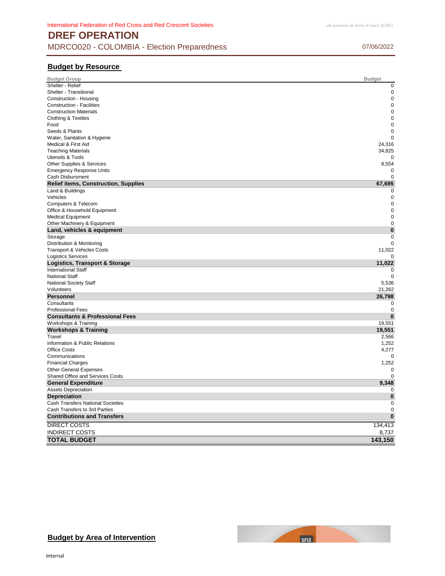### **DREF OPERATION** MDRCO020 - COLOMBIA - Election Preparedness 07/06/2022

#### **Budget by Resource**

| <b>Budget Group</b>                         | <b>Budget</b> |
|---------------------------------------------|---------------|
| Shelter - Relief                            | $\mathbf 0$   |
| Shelter - Transitional                      | $\mathbf 0$   |
| Construction - Housing                      | $\mathbf 0$   |
| <b>Construction - Facilities</b>            | $\mathbf 0$   |
| <b>Construction Materials</b>               | $\mathbf 0$   |
| <b>Clothing &amp; Textiles</b>              | $\mathbf 0$   |
| Food                                        | 0             |
| Seeds & Plants                              | $\mathbf 0$   |
| Water, Sanitation & Hygiene                 | $\mathbf 0$   |
| Medical & First Aid                         | 24,316        |
| <b>Teaching Materials</b>                   | 34,825        |
| <b>Utensils &amp; Tools</b>                 |               |
| Other Supplies & Services                   | 8,554         |
| <b>Emergency Response Units</b>             | 0             |
| Cash Disbursment                            | 0             |
| <b>Relief items, Construction, Supplies</b> | 67,695        |
| Land & Buildings                            | 0             |
|                                             | $\mathbf 0$   |
| Vehicles                                    |               |
| Computers & Telecom                         | $\mathbf 0$   |
| Office & Household Equipment                | $\mathbf 0$   |
| <b>Medical Equipment</b>                    | $\mathbf 0$   |
| Other Machinery & Equipment                 | $\mathbf 0$   |
| Land, vehicles & equipment                  | $\bf{0}$      |
| Storage                                     | $\Omega$      |
| Distribution & Monitoring                   | $\Omega$      |
| Transport & Vehicles Costs                  | 11,022        |
| <b>Logistics Services</b>                   | 0             |
| <b>Logistics, Transport &amp; Storage</b>   | 11,022        |
| <b>International Staff</b>                  | $\Omega$      |
| <b>National Staff</b>                       | 0             |
| National Society Staff                      | 5,536         |
| Volunteers                                  | 21,262        |
| <b>Personnel</b>                            | 26,798        |
| Consultants                                 | 0             |
| <b>Professional Fees</b>                    | $\mathbf 0$   |
| <b>Consultants &amp; Professional Fees</b>  | $\bf{0}$      |
| Workshops & Training                        | 19,551        |
| <b>Workshops &amp; Training</b>             | 19,551        |
| Travel                                      | 2,566         |
| Information & Public Relations              | 1,252         |
| <b>Office Costs</b>                         | 4,277         |
| Communications                              | $\mathbf 0$   |
| <b>Financial Charges</b>                    | 1,252         |
| <b>Other General Expenses</b>               | 0             |
| Shared Office and Services Costs            | 0             |
| <b>General Expenditure</b>                  | 9,348         |
| <b>Assets Depreciation</b>                  | 0             |
| <b>Depreciation</b>                         | $\bf{0}$      |
| Cash Transfers National Societies           | $\mathbf 0$   |
|                                             | $\mathbf 0$   |
| Cash Transfers to 3rd Parties               |               |
| <b>Contributions and Transfers</b>          | $\bf{0}$      |
| <b>DIRECT COSTS</b>                         | 134,413       |
| <b>INDIRECT COSTS</b>                       | 8,737         |
| <b>TOTAL BUDGET</b>                         | 143,150       |
|                                             |               |